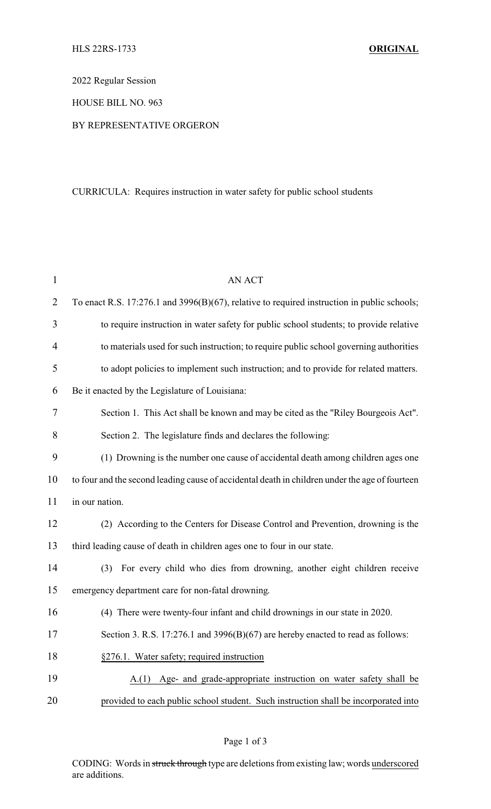2022 Regular Session

HOUSE BILL NO. 963

## BY REPRESENTATIVE ORGERON

## CURRICULA: Requires instruction in water safety for public school students

| $\mathbf{1}$   | <b>AN ACT</b>                                                                                  |
|----------------|------------------------------------------------------------------------------------------------|
| $\overline{2}$ | To enact R.S. 17:276.1 and 3996(B)(67), relative to required instruction in public schools;    |
| 3              | to require instruction in water safety for public school students; to provide relative         |
| $\overline{4}$ | to materials used for such instruction; to require public school governing authorities         |
| 5              | to adopt policies to implement such instruction; and to provide for related matters.           |
| 6              | Be it enacted by the Legislature of Louisiana:                                                 |
| 7              | Section 1. This Act shall be known and may be cited as the "Riley Bourgeois Act".              |
| 8              | Section 2. The legislature finds and declares the following:                                   |
| 9              | (1) Drowning is the number one cause of accidental death among children ages one               |
| 10             | to four and the second leading cause of accidental death in children under the age of fourteen |
| 11             | in our nation.                                                                                 |
| 12             | (2) According to the Centers for Disease Control and Prevention, drowning is the               |
| 13             | third leading cause of death in children ages one to four in our state.                        |
| 14             | For every child who dies from drowning, another eight children receive<br>(3)                  |
| 15             | emergency department care for non-fatal drowning.                                              |
| 16             | (4) There were twenty-four infant and child drownings in our state in 2020.                    |
| 17             | Section 3. R.S. 17:276.1 and 3996(B)(67) are hereby enacted to read as follows:                |
| 18             | §276.1. Water safety; required instruction                                                     |
| 19             | Age- and grade-appropriate instruction on water safety shall be<br>A(1)                        |
| 20             | provided to each public school student. Such instruction shall be incorporated into            |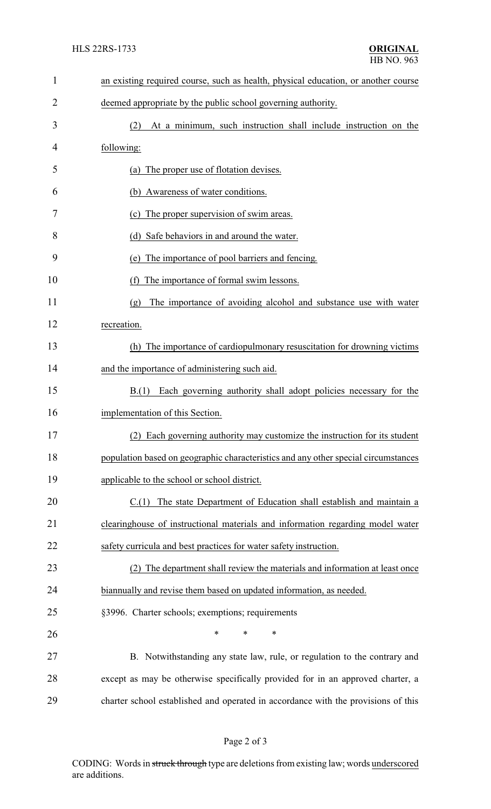| $\mathbf{1}$   | an existing required course, such as health, physical education, or another course |  |  |
|----------------|------------------------------------------------------------------------------------|--|--|
| $\overline{2}$ | deemed appropriate by the public school governing authority.                       |  |  |
| 3              | At a minimum, such instruction shall include instruction on the<br>(2)             |  |  |
| 4              | following:                                                                         |  |  |
| 5              | The proper use of flotation devises.<br>(a)                                        |  |  |
| 6              | (b) Awareness of water conditions.                                                 |  |  |
| 7              | (c) The proper supervision of swim areas.                                          |  |  |
| 8              | (d) Safe behaviors in and around the water.                                        |  |  |
| 9              | The importance of pool barriers and fencing.<br>(e)                                |  |  |
| 10             | The importance of formal swim lessons.<br>(f)                                      |  |  |
| 11             | The importance of avoiding alcohol and substance use with water<br>(g)             |  |  |
| 12             | recreation.                                                                        |  |  |
| 13             | (h) The importance of cardiopulmonary resuscitation for drowning victims           |  |  |
| 14             | and the importance of administering such aid.                                      |  |  |
| 15             | B(1)<br>Each governing authority shall adopt policies necessary for the            |  |  |
| 16             | implementation of this Section.                                                    |  |  |
| 17             | (2) Each governing authority may customize the instruction for its student         |  |  |
| 18             | population based on geographic characteristics and any other special circumstances |  |  |
| 19             | applicable to the school or school district.                                       |  |  |
| 20             | C.(1) The state Department of Education shall establish and maintain a             |  |  |
| 21             | clearinghouse of instructional materials and information regarding model water     |  |  |
| 22             | safety curricula and best practices for water safety instruction.                  |  |  |
| 23             | The department shall review the materials and information at least once            |  |  |
| 24             | biannually and revise them based on updated information, as needed.                |  |  |
| 25             | §3996. Charter schools; exemptions; requirements                                   |  |  |
| 26             | $\ast$<br>*<br>∗                                                                   |  |  |
| 27             | B. Notwithstanding any state law, rule, or regulation to the contrary and          |  |  |
| 28             | except as may be otherwise specifically provided for in an approved charter, a     |  |  |
| 29             | charter school established and operated in accordance with the provisions of this  |  |  |